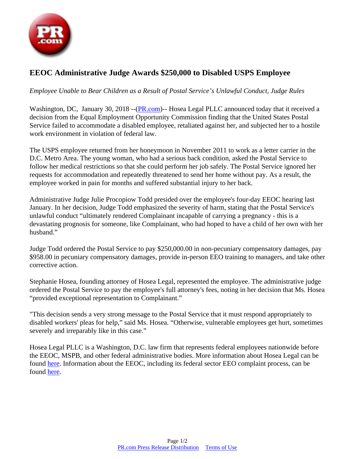

## **EEOC Administrative Judge Awards \$250,000 to Disabled USPS Employee**

## *Employee Unable to Bear Children as a Result of Postal Service's Unlawful Conduct, Judge Rules*

Washington, DC, January 30, 2018 --([PR.com](https://www.pr.com))-- Hosea Legal PLLC announced today that it received a decision from the Equal Employment Opportunity Commission finding that the United States Postal Service failed to accommodate a disabled employee, retaliated against her, and subjected her to a hostile work environment in violation of federal law.

The USPS employee returned from her honeymoon in November 2011 to work as a letter carrier in the D.C. Metro Area. The young woman, who had a serious back condition, asked the Postal Service to follow her medical restrictions so that she could perform her job safely. The Postal Service ignored her requests for accommodation and repeatedly threatened to send her home without pay. As a result, the employee worked in pain for months and suffered substantial injury to her back.

Administrative Judge Julie Procopiow Todd presided over the employee's four-day EEOC hearing last January. In her decision, Judge Todd emphasized the severity of harm, stating that the Postal Service's unlawful conduct "ultimately rendered Complainant incapable of carrying a pregnancy - this is a devastating prognosis for someone, like Complainant, who had hoped to have a child of her own with her husband."

Judge Todd ordered the Postal Service to pay \$250,000.00 in non-pecuniary compensatory damages, pay \$958.00 in pecuniary compensatory damages, provide in-person EEO training to managers, and take other corrective action.

Stephanie Hosea, founding attorney of Hosea Legal, represented the employee. The administrative judge ordered the Postal Service to pay the employee's full attorney's fees, noting in her decision that Ms. Hosea "provided exceptional representation to Complainant."

"This decision sends a very strong message to the Postal Service that it must respond appropriately to disabled workers' pleas for help," said Ms. Hosea. "Otherwise, vulnerable employees get hurt, sometimes severely and irreparably like in this case."

Hosea Legal PLLC is a Washington, D.C. law firm that represents federal employees nationwide before the EEOC, MSPB, and other federal administrative bodies. More information about Hosea Legal can be found [here.](http://www.law4work.com) Information about the EEOC, including its federal sector EEO complaint process, can be found [here.](http://www.eeoc.gov)